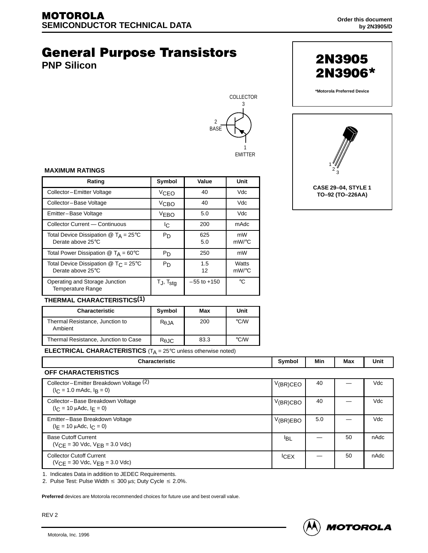# **General Purpose Transistors**

**PNP Silicon**





**CASE 29–04, STYLE 1 TO–92 (TO–226AA)**

**2N3905** 

2N3906\*

#### **MAXIMUM RATINGS**

| Rating                                                                  | Symbol            | Value           | Unit           |    |
|-------------------------------------------------------------------------|-------------------|-----------------|----------------|----|
| Collector-Emitter Voltage                                               | VCEO              | 40              | Vdc            |    |
| Collector-Base Voltage                                                  | V <sub>CBO</sub>  | 40              | Vdc            |    |
| Emitter-Base Voltage                                                    | <b>VEBO</b>       | 5.0             | Vdc            |    |
| Collector Current - Continuous                                          | Iс                | 200             | mAdc           |    |
| Total Device Dissipation $@$ T <sub>A</sub> = 25°C<br>Derate above 25°C | P <sub>D</sub>    | 625<br>5.0      | mW<br>mW/°C    |    |
| Total Power Dissipation $@$ T <sub>A</sub> = 60 $°C$                    | P <sub>D</sub>    | 250             |                | mW |
| Total Device Dissipation $@$ T <sub>C</sub> = 25°C<br>Derate above 25°C | P <sub>D</sub>    | 1.5<br>12       | Watts<br>mW/°C |    |
| Operating and Storage Junction<br>Temperature Range                     | $T_J$ , $T_{stg}$ | $-55$ to $+150$ | °C             |    |

#### **THERMAL CHARACTERISTICS(1)**

| <b>Characteristic</b>                      | Symbol         | Max  | Unit               |
|--------------------------------------------|----------------|------|--------------------|
| Thermal Resistance, Junction to<br>Ambient | $R_{\theta$ JA | 200  | $\degree$ C/W      |
| Thermal Resistance, Junction to Case       | $R_{\theta$ JC | 83.3 | $\rm ^{\circ}$ C/W |

**ELECTRICAL CHARACTERISTICS** (T<sub>A</sub> = 25°C unless otherwise noted)

| <b>Characteristic</b>                                                              | Symbol          | Min | Max | <b>Unit</b> |
|------------------------------------------------------------------------------------|-----------------|-----|-----|-------------|
| OFF CHARACTERISTICS                                                                |                 |     |     |             |
| Collector-Emitter Breakdown Voltage (2)<br>$(I_C = 1.0 \text{ m}$ Adc, $I_R = 0$ ) | $V(BR)$ CEO     | 40  |     | Vdc         |
| Collector-Base Breakdown Voltage<br>$(l_C = 10 \mu A d c, l_F = 0)$                | $V(BR)$ CBO     | 40  |     | Vdc         |
| Emitter-Base Breakdown Voltage<br>$(I_E = 10 \mu A d c, I_C = 0)$                  | V(BR)EBO        | 5.0 |     | Vdc         |
| <b>Base Cutoff Current</b><br>$(VCE = 30$ Vdc, $VEB = 3.0$ Vdc)                    | <sup>I</sup> BL |     | 50  | nAdc        |
| <b>Collector Cutoff Current</b><br>$(VCF = 30$ Vdc, $VFR = 3.0$ Vdc)               | <b>CEX</b>      |     | 50  | nAdc        |

1. Indicates Data in addition to JEDEC Requirements.

2. Pulse Test: Pulse Width  $\leq 300$  µs; Duty Cycle  $\leq 2.0\%$ .

**Preferred** devices are Motorola recommended choices for future use and best overall value.

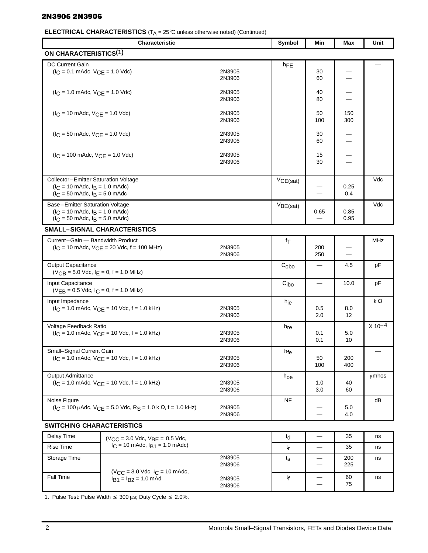## 2N3905 2N3906

# **ELECTRICAL CHARACTERISTICS** (T<sub>A</sub> = 25°C unless otherwise noted) (Continued)

|                                                                                                                                                   | ה י<br>Characteristic                                                                               |                  | Symbol           | Min                      | Max                      | Unit       |
|---------------------------------------------------------------------------------------------------------------------------------------------------|-----------------------------------------------------------------------------------------------------|------------------|------------------|--------------------------|--------------------------|------------|
| <b>ON CHARACTERISTICS(1)</b>                                                                                                                      |                                                                                                     |                  |                  |                          |                          |            |
| <b>DC Current Gain</b><br>$(I_C = 0.1 \text{ m}$ Adc, $V_{CE} = 1.0 \text{ V}$ dc)                                                                |                                                                                                     | 2N3905<br>2N3906 | hFE              | 30<br>60                 |                          |            |
| $(I_C = 1.0 \text{ m}$ Adc, $V_{CE} = 1.0 \text{ V}$ dc)                                                                                          |                                                                                                     | 2N3905<br>2N3906 |                  | 40<br>80                 |                          |            |
| $(I_C = 10 \text{ m}$ Adc, $V_{CE} = 1.0 \text{ V}$ dc)                                                                                           |                                                                                                     | 2N3905<br>2N3906 |                  | 50<br>100                | 150<br>300               |            |
| $(I_C = 50 \text{ m}$ Adc, $V_{CE} = 1.0 \text{ V}$ dc)                                                                                           |                                                                                                     | 2N3905<br>2N3906 |                  | 30<br>60                 |                          |            |
| $(I_C = 100 \text{ m}$ Adc, $V_{CE} = 1.0 \text{ V}$ dc)                                                                                          |                                                                                                     | 2N3905<br>2N3906 |                  | 15<br>30                 |                          |            |
| Collector-Emitter Saturation Voltage<br>$(I_C = 10 \text{ m}$ Adc, $I_B = 1.0 \text{ m}$ Adc)<br>$I_C = 50$ mAdc, $I_B = 5.0$ mAdc                |                                                                                                     |                  | VCE(sat)         |                          | 0.25<br>0.4              | Vdc        |
| Base-Emitter Saturation Voltage<br>$(I_C = 10 \text{ m}$ Adc, $I_B = 1.0 \text{ m}$ Adc)<br>$(I_C = 50 \text{ m}$ Adc, $I_B = 5.0 \text{ m}$ Adc) |                                                                                                     |                  | VBE(sat)         | 0.65                     | 0.85<br>0.95             | Vdc        |
|                                                                                                                                                   | <b>SMALL-SIGNAL CHARACTERISTICS</b>                                                                 |                  |                  |                          |                          |            |
| Current-Gain - Bandwidth Product                                                                                                                  | $(I_C = 10 \text{ m}$ Adc, $V_{CE} = 20 \text{ V}$ dc, f = 100 MHz)                                 | 2N3905<br>2N3906 | fτ               | 200<br>250               |                          | MHz        |
| Output Capacitance<br>$(VCB = 5.0$ Vdc, $IE = 0$ , $f = 1.0$ MHz)                                                                                 |                                                                                                     |                  | C <sub>obo</sub> |                          | 4.5                      | pF         |
| Input Capacitance<br>$(VEB = 0.5$ Vdc, $I_C = 0$ , $f = 1.0$ MHz)                                                                                 |                                                                                                     |                  | C <sub>ibo</sub> | $\overline{\phantom{0}}$ | 10.0                     | pF         |
| Input Impedance                                                                                                                                   | $(I_C = 1.0 \text{ m}$ Adc, $V_{CE} = 10 \text{ Vdc}, f = 1.0 \text{ kHz}$                          | 2N3905<br>2N3906 | h <sub>ie</sub>  | 0.5<br>2.0               | 8.0<br>$12 \overline{ }$ | k $\Omega$ |
| Voltage Feedback Ratio                                                                                                                            | $(I_C = 1.0 \text{ m}$ Adc, $V_{CE} = 10 \text{ Vdc}, f = 1.0 \text{ kHz}$                          | 2N3905<br>2N3906 | $h_{\text{re}}$  | 0.1<br>0.1               | 5.0<br>10                | $X 10-4$   |
| Small-Signal Current Gain                                                                                                                         | $(I_C = 1.0 \text{ m}$ Adc, $V_{CE} = 10 \text{ Vdc}, f = 1.0 \text{ kHz}$                          | 2N3905<br>2N3906 | h <sub>fe</sub>  | 50<br>100                | 200<br>400               |            |
| <b>Output Admittance</b>                                                                                                                          | $(I_C = 1.0$ mAdc, $V_{CF} = 10$ Vdc, $f = 1.0$ kHz)                                                | 2N3905<br>2N3906 | $h_{\text{O}}e$  | 1.0<br>3.0               | 40<br>60                 | umhos      |
| Noise Figure                                                                                                                                      | $(I_C = 100 \mu A dC, V_{CF} = 5.0 \text{ V} dC, R_S = 1.0 \text{ k } \Omega, f = 1.0 \text{ kHz})$ | 2N3905<br>2N3906 | NF               | $\equiv$                 | 5.0<br>4.0               | dB         |
| <b>SWITCHING CHARACTERISTICS</b>                                                                                                                  |                                                                                                     |                  |                  |                          |                          |            |
| Delay Time                                                                                                                                        | $(V_{CC} = 3.0$ Vdc, $V_{BE} = 0.5$ Vdc,                                                            |                  | $t_{d}$          |                          | 35                       | ns         |
| <b>Rise Time</b>                                                                                                                                  | $I_C = 10$ mAdc, $I_{B1} = 1.0$ mAdc)                                                               |                  | tr               |                          | 35                       | ns         |
| Storage Time                                                                                                                                      | $(V_{CC} = 3.0$ Vdc, $I_C = 10$ mAdc,                                                               | 2N3905<br>2N3906 | $t_{\rm S}$      | $\qquad \qquad$          | 200<br>225               | ns         |
| Fall Time                                                                                                                                         | $I_{B1} = I_{B2} = 1.0$ mAd                                                                         | 2N3905           | tf               | $\qquad \qquad$          | 60                       | ns         |

2N3906

1. Pulse Test: Pulse Width  $\leq 300$  µs; Duty Cycle  $\leq 2.0\%$ .

—

60 75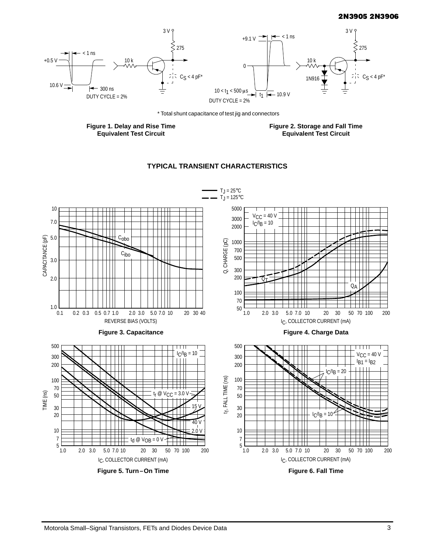### 2N3905 2N3906



\* Total shunt capacitance of test jig and connectors

**Figure 1. Delay and Rise Time Equivalent Test Circuit**

**Figure 2. Storage and Fall Time Equivalent Test Circuit**



# **TYPICAL TRANSIENT CHARACTERISTICS**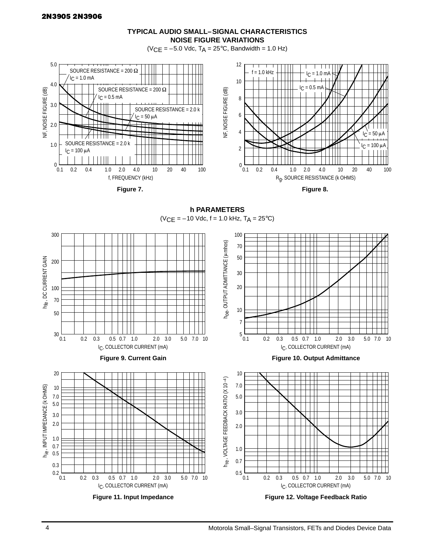

 $(VCE = -5.0$  Vdc,  $T_A = 25$ °C, Bandwidth = 1.0 Hz)



**Figure 7.** 



**h PARAMETERS**  $(VCE = -10$  Vdc,  $f = 1.0$  kHz,  $T_A = 25^{\circ}C$ )



**Figure 11. Input Impedance**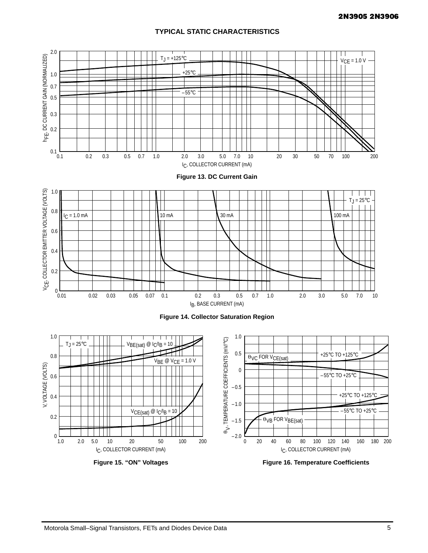# **TYPICAL STATIC CHARACTERISTICS**